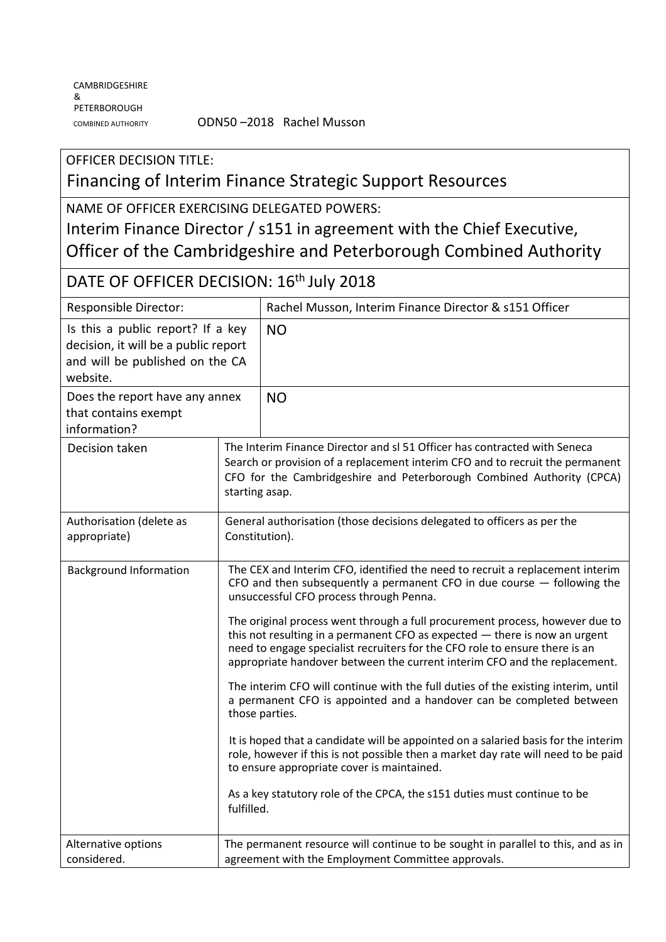## OFFICER DECISION TITLE: Financing of Interim Finance Strategic Support Resources

NAME OF OFFICER EXERCISING DELEGATED POWERS: Interim Finance Director / s151 in agreement with the Chief Executive, Officer of the Cambridgeshire and Peterborough Combined Authority

| DATE OF OFFICER DECISION: 16 <sup>th</sup> July 2018                                                                     |                                                                                                                                                                                                                                                                                                                                                                                                                                                                                                                                                                                                                                                                                                                                                                                                                                                                                                                                                                                                                                     |                                                                                                                                                                                                                                     |  |
|--------------------------------------------------------------------------------------------------------------------------|-------------------------------------------------------------------------------------------------------------------------------------------------------------------------------------------------------------------------------------------------------------------------------------------------------------------------------------------------------------------------------------------------------------------------------------------------------------------------------------------------------------------------------------------------------------------------------------------------------------------------------------------------------------------------------------------------------------------------------------------------------------------------------------------------------------------------------------------------------------------------------------------------------------------------------------------------------------------------------------------------------------------------------------|-------------------------------------------------------------------------------------------------------------------------------------------------------------------------------------------------------------------------------------|--|
| Responsible Director:                                                                                                    |                                                                                                                                                                                                                                                                                                                                                                                                                                                                                                                                                                                                                                                                                                                                                                                                                                                                                                                                                                                                                                     | Rachel Musson, Interim Finance Director & s151 Officer                                                                                                                                                                              |  |
| Is this a public report? If a key<br>decision, it will be a public report<br>and will be published on the CA<br>website. |                                                                                                                                                                                                                                                                                                                                                                                                                                                                                                                                                                                                                                                                                                                                                                                                                                                                                                                                                                                                                                     | <b>NO</b>                                                                                                                                                                                                                           |  |
| Does the report have any annex<br>that contains exempt<br>information?                                                   |                                                                                                                                                                                                                                                                                                                                                                                                                                                                                                                                                                                                                                                                                                                                                                                                                                                                                                                                                                                                                                     | <b>NO</b>                                                                                                                                                                                                                           |  |
| Decision taken                                                                                                           | starting asap.                                                                                                                                                                                                                                                                                                                                                                                                                                                                                                                                                                                                                                                                                                                                                                                                                                                                                                                                                                                                                      | The Interim Finance Director and sl 51 Officer has contracted with Seneca<br>Search or provision of a replacement interim CFO and to recruit the permanent<br>CFO for the Cambridgeshire and Peterborough Combined Authority (CPCA) |  |
| Authorisation (delete as<br>appropriate)                                                                                 | General authorisation (those decisions delegated to officers as per the<br>Constitution).                                                                                                                                                                                                                                                                                                                                                                                                                                                                                                                                                                                                                                                                                                                                                                                                                                                                                                                                           |                                                                                                                                                                                                                                     |  |
| <b>Background Information</b>                                                                                            | The CEX and Interim CFO, identified the need to recruit a replacement interim<br>CFO and then subsequently a permanent CFO in due course $-$ following the<br>unsuccessful CFO process through Penna.<br>The original process went through a full procurement process, however due to<br>this not resulting in a permanent CFO as expected $-$ there is now an urgent<br>need to engage specialist recruiters for the CFO role to ensure there is an<br>appropriate handover between the current interim CFO and the replacement.<br>The interim CFO will continue with the full duties of the existing interim, until<br>a permanent CFO is appointed and a handover can be completed between<br>those parties.<br>It is hoped that a candidate will be appointed on a salaried basis for the interim<br>role, however if this is not possible then a market day rate will need to be paid<br>to ensure appropriate cover is maintained.<br>As a key statutory role of the CPCA, the s151 duties must continue to be<br>fulfilled. |                                                                                                                                                                                                                                     |  |
| Alternative options<br>considered.                                                                                       |                                                                                                                                                                                                                                                                                                                                                                                                                                                                                                                                                                                                                                                                                                                                                                                                                                                                                                                                                                                                                                     | The permanent resource will continue to be sought in parallel to this, and as in<br>agreement with the Employment Committee approvals.                                                                                              |  |